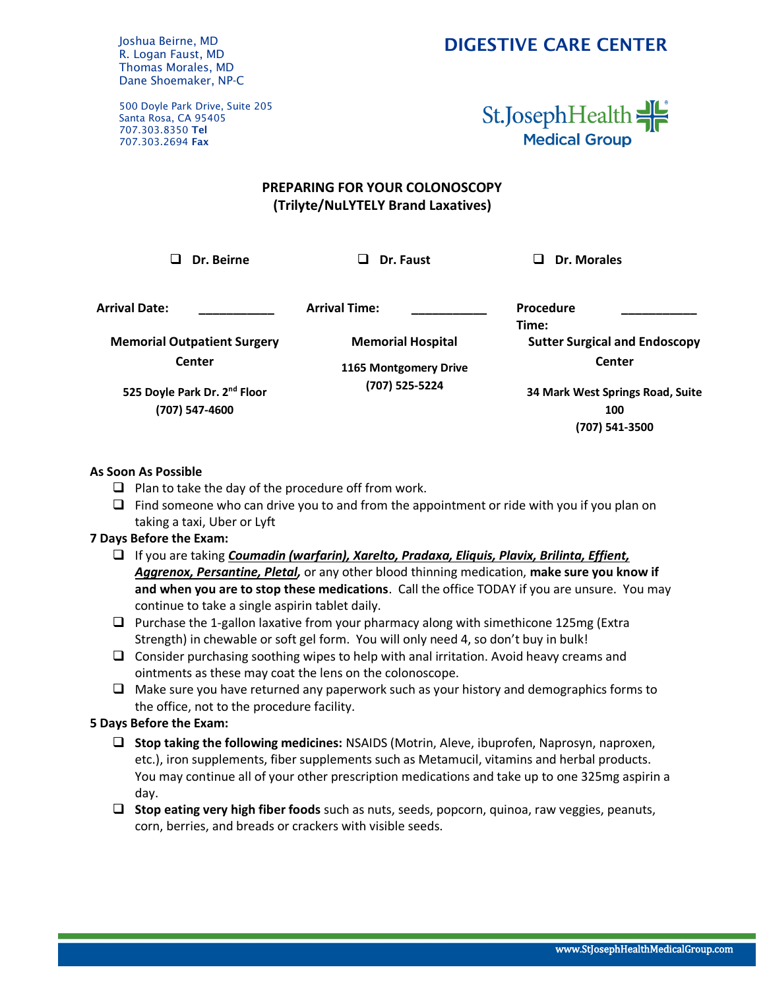Joshua Beirne, MD R. Logan Faust, MD Thomas Morales, MD Dane Shoemaker, NP-C

500 Doyle Park Drive, Suite 205 Santa Rosa, CA 95405 707.303.8350 Tel 707.303.2694 Fax

## St.JosephHealth **Medical Group**

### **PREPARING FOR YOUR COLONOSCOPY (Trilyte/NuLYTELY Brand Laxatives)**

❑ **Dr. Beirne** ❑ **Dr. Faust** ❑ **Dr. Morales**

**Arrival Date: \_\_\_\_\_\_\_\_\_\_\_ Arrival Time: \_\_\_\_\_\_\_\_\_\_\_ Procedure** 

**Memorial Outpatient Surgery Center**

**Memorial Hospital**

**1165 Montgomery Drive (707) 525-5224**

**525 Doyle Park Dr. 2nd Floor (707) 547-4600**

**Time: \_\_\_\_\_\_\_\_\_\_\_ Sutter Surgical and Endoscopy Center**

**34 Mark West Springs Road, Suite 100 (707) 541-3500**

#### **As Soon As Possible**

- $\Box$  Plan to take the day of the procedure off from work.
- ❑ Find someone who can drive you to and from the appointment or ride with you if you plan on taking a taxi, Uber or Lyft

#### **7 Days Before the Exam:**

- ❑ If you are taking *Coumadin (warfarin), Xarelto, Pradaxa, Eliquis, Plavix, Brilinta, Effient, Aggrenox, Persantine, Pletal,* or any other blood thinning medication, **make sure you know if and when you are to stop these medications**. Call the office TODAY if you are unsure. You may continue to take a single aspirin tablet daily.
- $\Box$  Purchase the 1-gallon laxative from your pharmacy along with simethicone 125mg (Extra Strength) in chewable or soft gel form. You will only need 4, so don't buy in bulk!
- $\Box$  Consider purchasing soothing wipes to help with anal irritation. Avoid heavy creams and ointments as these may coat the lens on the colonoscope.
- ❑ Make sure you have returned any paperwork such as your history and demographics forms to the office, not to the procedure facility.

#### **5 Days Before the Exam:**

- ❑ **Stop taking the following medicines:** NSAIDS (Motrin, Aleve, ibuprofen, Naprosyn, naproxen, etc.), iron supplements, fiber supplements such as Metamucil, vitamins and herbal products. You may continue all of your other prescription medications and take up to one 325mg aspirin a day.
- ❑ **Stop eating very high fiber foods** such as nuts, seeds, popcorn, quinoa, raw veggies, peanuts, corn, berries, and breads or crackers with visible seeds.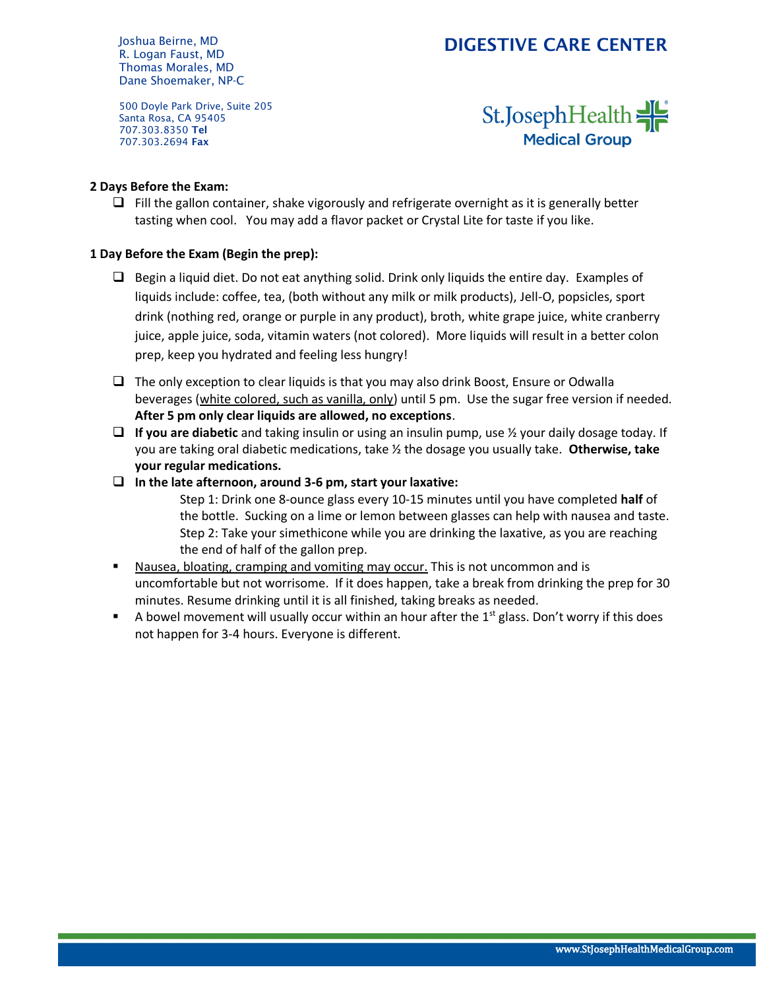Joshua Beirne, MD R. Logan Faust, MD Thomas Morales, MD Dane Shoemaker, NP-C

500 Doyle Park Drive, Suite 205 Santa Rosa, CA 95405 707.303.8350 Tel 707.303.2694 Fax

# St.JosephHealth **Medical Group**

#### **2 Days Before the Exam:**

 $\Box$  Fill the gallon container, shake vigorously and refrigerate overnight as it is generally better tasting when cool. You may add a flavor packet or Crystal Lite for taste if you like.

#### **1 Day Before the Exam (Begin the prep):**

- ❑ Begin a liquid diet. Do not eat anything solid. Drink only liquids the entire day. Examples of liquids include: coffee, tea, (both without any milk or milk products), Jell-O, popsicles, sport drink (nothing red, orange or purple in any product), broth, white grape juice, white cranberry juice, apple juice, soda, vitamin waters (not colored). More liquids will result in a better colon prep, keep you hydrated and feeling less hungry!
- ❑ The only exception to clear liquids is that you may also drink Boost, Ensure or Odwalla beverages (white colored, such as vanilla, only) until 5 pm. Use the sugar free version if needed. **After 5 pm only clear liquids are allowed, no exceptions**.
- ❑ **If you are diabetic** and taking insulin or using an insulin pump, use ½ your daily dosage today. If you are taking oral diabetic medications, take ½ the dosage you usually take. **Otherwise, take your regular medications.**
- ❑ **In the late afternoon, around 3-6 pm, start your laxative:**
	- Step 1: Drink one 8-ounce glass every 10-15 minutes until you have completed **half** of the bottle. Sucking on a lime or lemon between glasses can help with nausea and taste. Step 2: Take your simethicone while you are drinking the laxative, as you are reaching the end of half of the gallon prep.
- Nausea, bloating, cramping and vomiting may occur. This is not uncommon and is uncomfortable but not worrisome. If it does happen, take a break from drinking the prep for 30 minutes. Resume drinking until it is all finished, taking breaks as needed.
- A bowel movement will usually occur within an hour after the  $1<sup>st</sup>$  glass. Don't worry if this does not happen for 3-4 hours. Everyone is different.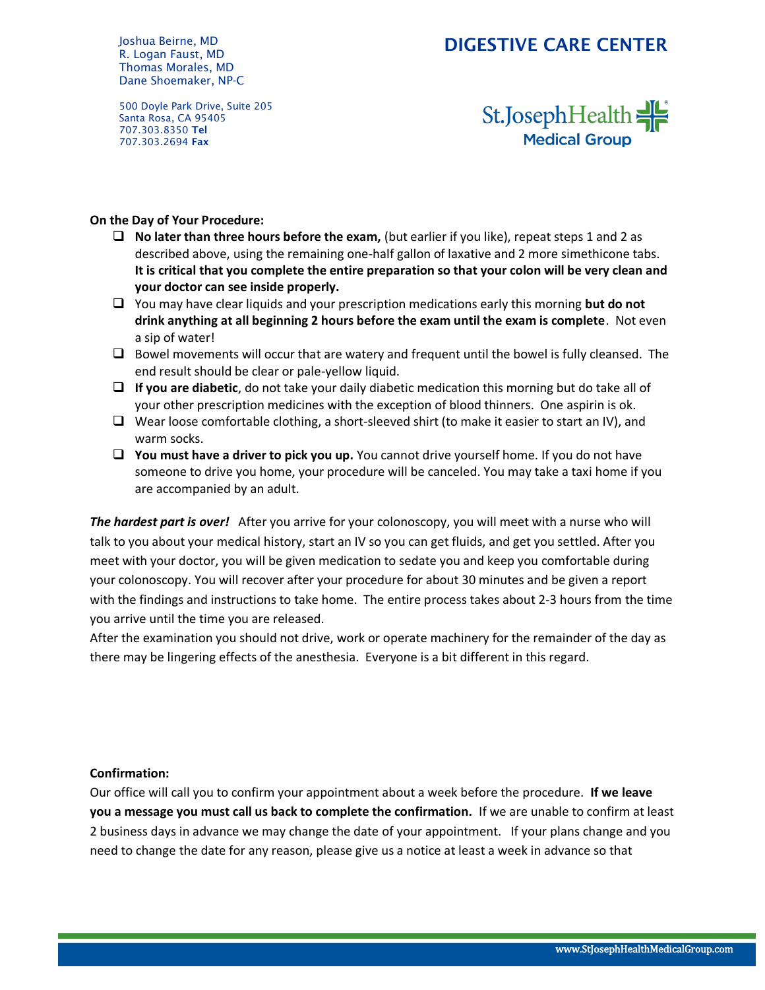Joshua Beirne, MD R. Logan Faust, MD Thomas Morales, MD Dane Shoemaker, NP-C

500 Doyle Park Drive, Suite 205 Santa Rosa, CA 95405 707.303.8350 Tel 707.303.2694 Fax

St.JosephHealth **Medical Group** 

#### **On the Day of Your Procedure:**

- ❑ **No later than three hours before the exam,** (but earlier if you like), repeat steps 1 and 2 as described above, using the remaining one-half gallon of laxative and 2 more simethicone tabs. **It is critical that you complete the entire preparation so that your colon will be very clean and your doctor can see inside properly.**
- ❑ You may have clear liquids and your prescription medications early this morning **but do not drink anything at all beginning 2 hours before the exam until the exam is complete**. Not even a sip of water!
- ❑ Bowel movements will occur that are watery and frequent until the bowel is fully cleansed. The end result should be clear or pale-yellow liquid.
- ❑ **If you are diabetic**, do not take your daily diabetic medication this morning but do take all of your other prescription medicines with the exception of blood thinners. One aspirin is ok.
- ❑ Wear loose comfortable clothing, a short-sleeved shirt (to make it easier to start an IV), and warm socks.
- ❑ **You must have a driver to pick you up.** You cannot drive yourself home. If you do not have someone to drive you home, your procedure will be canceled. You may take a taxi home if you are accompanied by an adult.

*The hardest part is over!* After you arrive for your colonoscopy, you will meet with a nurse who will talk to you about your medical history, start an IV so you can get fluids, and get you settled. After you meet with your doctor, you will be given medication to sedate you and keep you comfortable during your colonoscopy. You will recover after your procedure for about 30 minutes and be given a report with the findings and instructions to take home. The entire process takes about 2-3 hours from the time you arrive until the time you are released.

After the examination you should not drive, work or operate machinery for the remainder of the day as there may be lingering effects of the anesthesia. Everyone is a bit different in this regard.

#### **Confirmation:**

Our office will call you to confirm your appointment about a week before the procedure. **If we leave you a message you must call us back to complete the confirmation.** If we are unable to confirm at least 2 business days in advance we may change the date of your appointment. If your plans change and you need to change the date for any reason, please give us a notice at least a week in advance so that